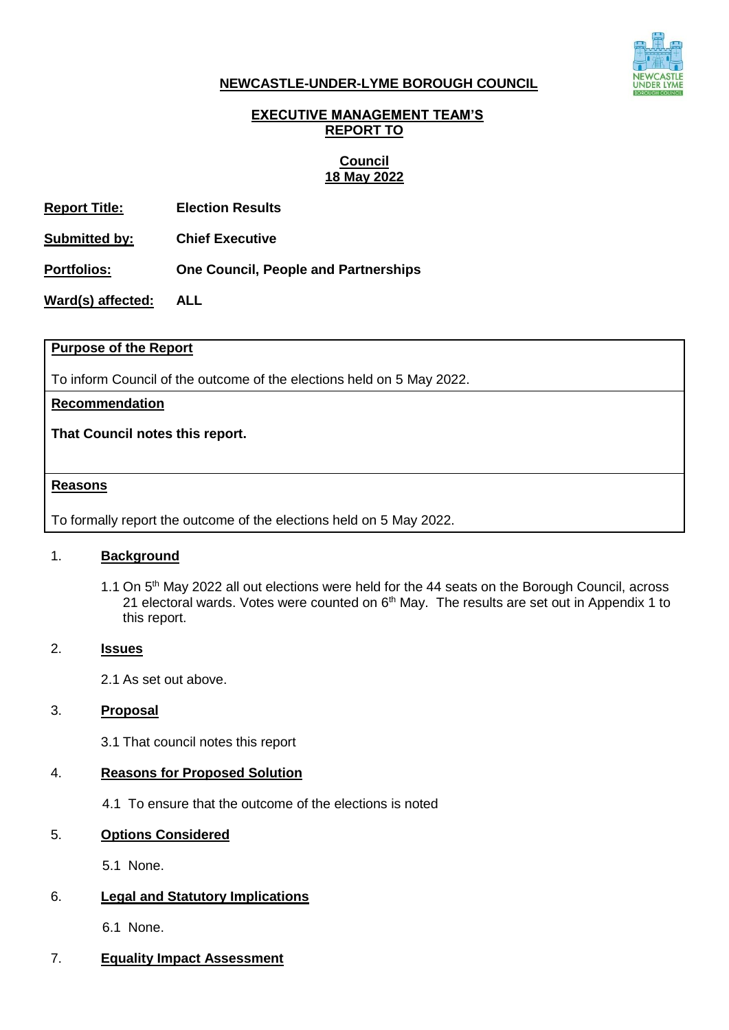

#### **NEWCASTLE-UNDER-LYME BOROUGH COUNCIL**

### **EXECUTIVE MANAGEMENT TEAM'S REPORT TO**

#### **Council 18 May 2022**

**Report Title: Election Results**

**Submitted by: Chief Executive**

**Portfolios: One Council, People and Partnerships**

**Ward(s) affected: ALL**

#### **Purpose of the Report**

To inform Council of the outcome of the elections held on 5 May 2022.

**Recommendation**

**That Council notes this report.** 

#### **Reasons**

To formally report the outcome of the elections held on 5 May 2022.

### 1. **Background**

1.1 On 5<sup>th</sup> May 2022 all out elections were held for the 44 seats on the Borough Council, across 21 electoral wards. Votes were counted on 6<sup>th</sup> May. The results are set out in Appendix 1 to this report.

#### 2. **Issues**

2.1 As set out above.

#### 3. **Proposal**

3.1 That council notes this report

### 4. **Reasons for Proposed Solution**

4.1 To ensure that the outcome of the elections is noted

### 5. **Options Considered**

5.1 None.

### 6. **Legal and Statutory Implications**

6.1 None.

### 7. **Equality Impact Assessment**